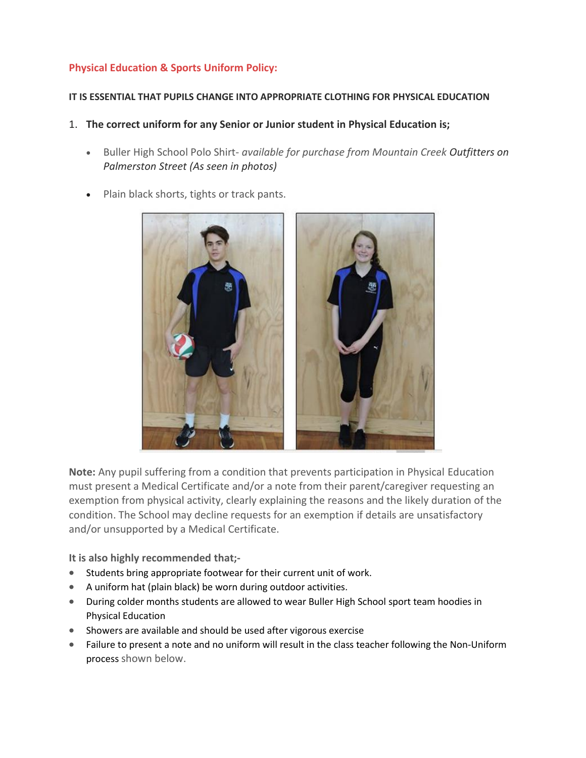## **Physical Education & Sports Uniform Policy:**

## **IT IS ESSENTIAL THAT PUPILS CHANGE INTO APPROPRIATE CLOTHING FOR PHYSICAL EDUCATION**

- 1. **The correct uniform for any Senior or Junior student in Physical Education is;**
	- Buller High School Polo Shirt- *available for purchase from Mountain Creek Outfitters on Palmerston Street (As seen in photos)*
	- Plain black shorts, tights or track pants.



**Note:** Any pupil suffering from a condition that prevents participation in Physical Education must present a Medical Certificate and/or a note from their parent/caregiver requesting an exemption from physical activity, clearly explaining the reasons and the likely duration of the condition. The School may decline requests for an exemption if details are unsatisfactory and/or unsupported by a Medical Certificate.

**It is also highly recommended that;-**

- Students bring appropriate footwear for their current unit of work.
- A uniform hat (plain black) be worn during outdoor activities.
- During colder months students are allowed to wear Buller High School sport team hoodies in Physical Education
- Showers are available and should be used after vigorous exercise
- Failure to present a note and no uniform will result in the class teacher following the Non-Uniform process shown below.